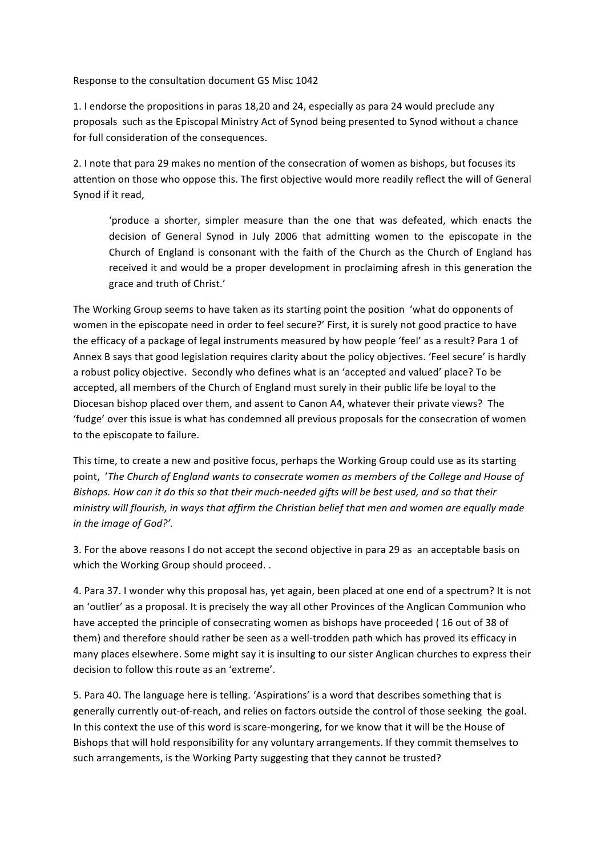Response to the consultation document GS Misc 1042

1. I endorse the propositions in paras 18,20 and 24, especially as para 24 would preclude any proposals such as the Episcopal Ministry Act of Synod being presented to Synod without a chance for full consideration of the consequences.

2. I note that para 29 makes no mention of the consecration of women as bishops, but focuses its attention on those who oppose this. The first objective would more readily reflect the will of General Synod if it read,

'produce a shorter, simpler measure than the one that was defeated, which enacts the decision of General Synod in July 2006 that admitting women to the episcopate in the Church of England is consonant with the faith of the Church as the Church of England has received it and would be a proper development in proclaiming afresh in this generation the grace and truth of Christ.'

The Working Group seems to have taken as its starting point the position 'what do opponents of women in the episcopate need in order to feel secure?' First, it is surely not good practice to have the efficacy of a package of legal instruments measured by how people 'feel' as a result? Para 1 of Annex B says that good legislation requires clarity about the policy objectives. 'Feel secure' is hardly a robust policy objective. Secondly who defines what is an 'accepted and valued' place? To be accepted, all members of the Church of England must surely in their public life be loval to the Diocesan bishop placed over them, and assent to Canon A4, whatever their private views? The 'fudge' over this issue is what has condemned all previous proposals for the consecration of women to the episcopate to failure.

This time, to create a new and positive focus, perhaps the Working Group could use as its starting point, *'The Church of England wants to consecrate women as members of the College and House of* Bishops. How can it do this so that their much-needed gifts will be best used, and so that their *ministry* will flourish, in ways that affirm the Christian belief that men and women are equally made in the image of God?'.

3. For the above reasons I do not accept the second objective in para 29 as an acceptable basis on which the Working Group should proceed. .

4. Para 37. I wonder why this proposal has, yet again, been placed at one end of a spectrum? It is not an 'outlier' as a proposal. It is precisely the way all other Provinces of the Anglican Communion who have accepted the principle of consecrating women as bishops have proceeded (16 out of 38 of them) and therefore should rather be seen as a well-trodden path which has proved its efficacy in many places elsewhere. Some might say it is insulting to our sister Anglican churches to express their decision to follow this route as an 'extreme'.

5. Para 40. The language here is telling. 'Aspirations' is a word that describes something that is generally currently out-of-reach, and relies on factors outside the control of those seeking the goal. In this context the use of this word is scare-mongering, for we know that it will be the House of Bishops that will hold responsibility for any voluntary arrangements. If they commit themselves to such arrangements, is the Working Party suggesting that they cannot be trusted?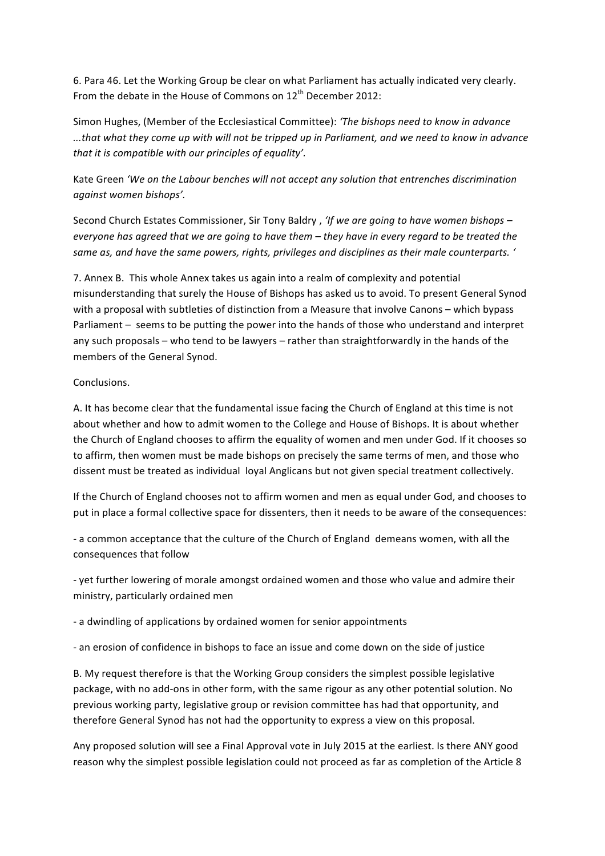6. Para 46. Let the Working Group be clear on what Parliament has actually indicated very clearly. From the debate in the House of Commons on  $12^{th}$  December 2012:

Simon Hughes, (Member of the Ecclesiastical Committee): 'The bishops need to know in advance ...that what they come up with will not be tripped up in Parliament, and we need to know in advance *that it is compatible with our principles of equality'.* 

Kate Green 'We on the Labour benches will not accept any solution that entrenches discrimination *against women bishops'.*

Second Church Estates Commissioner, Sir Tony Baldry, 'If we are going to have women bishops *everyone has agreed that we are going to have them – they have in every regard to be treated the* same as, and have the same powers, rights, privileges and disciplines as their male counterparts. '

7. Annex B. This whole Annex takes us again into a realm of complexity and potential misunderstanding that surely the House of Bishops has asked us to avoid. To present General Synod with a proposal with subtleties of distinction from a Measure that involve Canons – which bypass Parliament – seems to be putting the power into the hands of those who understand and interpret any such proposals – who tend to be lawyers – rather than straightforwardly in the hands of the members of the General Synod.

## Conclusions.

A. It has become clear that the fundamental issue facing the Church of England at this time is not about whether and how to admit women to the College and House of Bishops. It is about whether the Church of England chooses to affirm the equality of women and men under God. If it chooses so to affirm, then women must be made bishops on precisely the same terms of men, and those who dissent must be treated as individual loyal Anglicans but not given special treatment collectively.

If the Church of England chooses not to affirm women and men as equal under God, and chooses to put in place a formal collective space for dissenters, then it needs to be aware of the consequences:

- a common acceptance that the culture of the Church of England demeans women, with all the consequences that follow

- yet further lowering of morale amongst ordained women and those who value and admire their ministry, particularly ordained men

- a dwindling of applications by ordained women for senior appointments

- an erosion of confidence in bishops to face an issue and come down on the side of justice

B. My request therefore is that the Working Group considers the simplest possible legislative package, with no add-ons in other form, with the same rigour as any other potential solution. No previous working party, legislative group or revision committee has had that opportunity, and therefore General Synod has not had the opportunity to express a view on this proposal.

Any proposed solution will see a Final Approval vote in July 2015 at the earliest. Is there ANY good reason why the simplest possible legislation could not proceed as far as completion of the Article 8